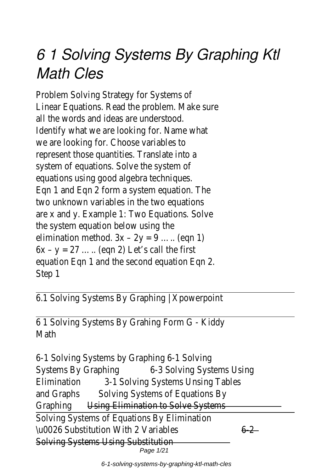## *6 1 Solving Systems By Graphing Ktl Math Cles*

Problem Solving Strategy for Systems of Linear Equations. Read the problem. Make sure all the words and ideas are understood. Identify what we are looking for. Name what we are looking for. Choose variables to represent those quantities. Translate into a system of equations. Solve the system of equations using good algebra techniques. Eqn 1 and Eqn 2 form a system equation. The two unknown variables in the two equations are x and y. Example 1: Two Equations. Solve the system equation below using the elimination method.  $3x - 2y = 9$  ..... (eqn 1)  $6x - y = 27$  ..... (eqn 2) Let's call the first equation Eqn 1 and the second equation Eqn 2. Step 1

6.1 Solving Systems By Graphing | Xpowerpoint

6 1 Solving Systems By Grahing Form G - Kiddy Math

6-1 Solving Systems by Graphing 6-1 Solving Systems By Graphing 6-3 Solving Systems Using Elimination 3-1 Solving Systems Unsing Tables and Graphs Solving Systems of Equations By Graphing Using Elimination to Solve Systems Solving Systems of Equations By Elimination  $\u$ 0026 Substitution With 2 Variables 6-2 Solving Systems Using Substitution Page 1/21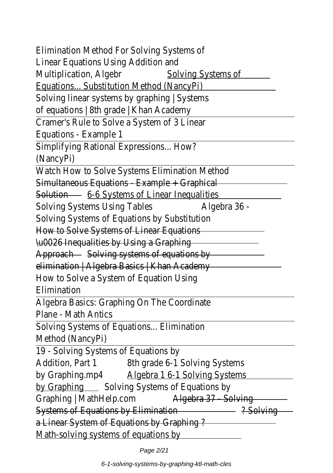Elimination Method For Solving Systems of Linear Equations Using Addition and Multiplication, Algebr Solving Systems of Equations... Substitution Method (NancyPi) Solving linear systems by graphing | Systems of equations | 8th grade | Khan Academy Cramer's Rule to Solve a System of 3 Linear Equations - Example 1 Simplifying Rational Expressions... How? (NancyPi) Watch How to Solve Systems Elimination Method Simultaneous Equations - Example + Graphical Solution 6-6 Systems of Linear Inequalities Solving Systems Using Tables Algebra 36 -Solving Systems of Equations by Substitution How to Solve Systems of Linear Equations \u0026 Inequalities by Using a Graphing Approach - Solving systems of equations by elimination | Algebra Basics | Khan Academy How to Solve a System of Equation Using Elimination Algebra Basics: Graphing On The Coordinate Plane - Math Antics Solving Systems of Equations... Elimination Method (NancyPi) 19 - Solving Systems of Equations by Addition, Part 1 8th grade 6-1 Solving Systems by Graphing.mp4 Algebra 1 6-1 Solving Systems by Graphing Solving Systems of Equations by Graphing | MathHelp.com Algebra 37 - Solving Systems of Equations by Elimination 2001 2014 2015 a Linear System of Equations by Graphing ? Math-solving systems of equations by

Page 2/21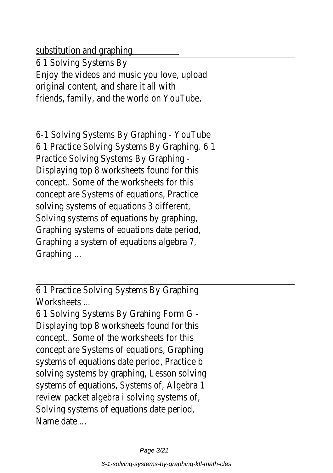substitution and graphing

6 1 Solving Systems By Enjoy the videos and music you love, upload original content, and share it all with friends, family, and the world on YouTube.

6-1 Solving Systems By Graphing - YouTube 6 1 Practice Solving Systems By Graphing. 6 1 Practice Solving Systems By Graphing - Displaying top 8 worksheets found for this concept.. Some of the worksheets for this concept are Systems of equations, Practice solving systems of equations 3 different, Solving systems of equations by graphing, Graphing systems of equations date period, Graphing a system of equations algebra 7, Graphing ...

6 1 Practice Solving Systems By Graphing Worksheets ...

6 1 Solving Systems By Grahing Form G - Displaying top 8 worksheets found for this concept.. Some of the worksheets for this concept are Systems of equations, Graphing systems of equations date period, Practice b solving systems by graphing, Lesson solving systems of equations, Systems of, Algebra 1 review packet algebra i solving systems of, Solving systems of equations date period, Name date ...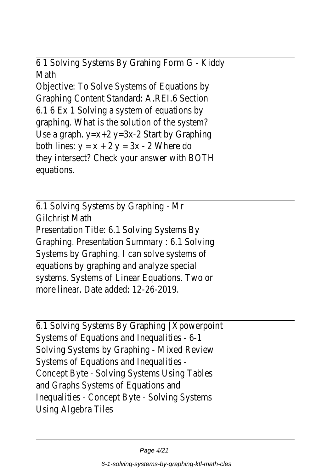6 1 Solving Systems By Grahing Form G - Kiddy Math

Objective: To Solve Systems of Equations by Graphing Content Standard: A.REI.6 Section 6.1 6 Ex 1 Solving a system of equations by graphing. What is the solution of the system? Use a graph. y=x+2 y=3x-2 Start by Graphing both lines:  $y = x + 2 y = 3x - 2$  Where do they intersect? Check your answer with BOTH equations.

6.1 Solving Systems by Graphing - Mr Gilchrist Math Presentation Title: 6.1 Solving Systems By Graphing. Presentation Summary : 6.1 Solving Systems by Graphing. I can solve systems of equations by graphing and analyze special systems. Systems of Linear Equations. Two or more linear. Date added: 12-26-2019.

6.1 Solving Systems By Graphing | Xpowerpoint Systems of Equations and Inequalities - 6-1 Solving Systems by Graphing - Mixed Review Systems of Equations and Inequalities - Concept Byte - Solving Systems Using Tables and Graphs Systems of Equations and Inequalities - Concept Byte - Solving Systems Using Algebra Tiles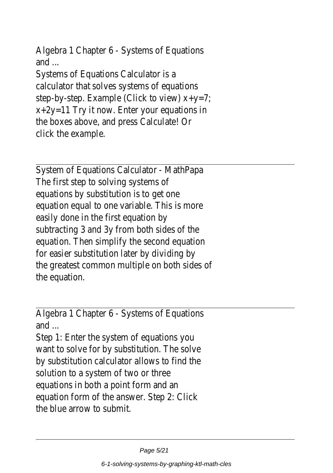Algebra 1 Chapter 6 - Systems of Equations and ...

Systems of Equations Calculator is a calculator that solves systems of equations step-by-step. Example (Click to view) x+y=7; x+2y=11 Try it now. Enter your equations in the boxes above, and press Calculate! Or click the example.

System of Equations Calculator - MathPapa The first step to solving systems of equations by substitution is to get one equation equal to one variable. This is more easily done in the first equation by subtracting 3 and 3y from both sides of the equation. Then simplify the second equation for easier substitution later by dividing by the greatest common multiple on both sides of the equation.

Algebra 1 Chapter 6 - Systems of Equations and ...

Step 1: Enter the system of equations you want to solve for by substitution. The solve by substitution calculator allows to find the solution to a system of two or three equations in both a point form and an equation form of the answer. Step 2: Click the blue arrow to submit.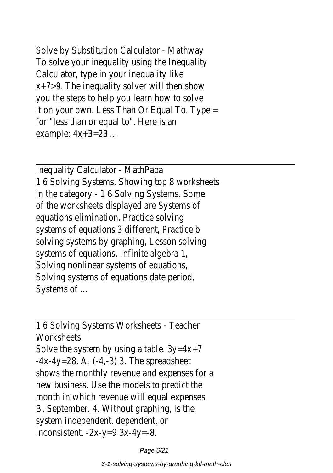Solve by Substitution Calculator - Mathway To solve your inequality using the Inequality Calculator, type in your inequality like x+7>9. The inequality solver will then show you the steps to help you learn how to solve it on your own. Less Than Or Equal To. Type = for "less than or equal to". Here is an example: 4x+3=23 ...

Inequality Calculator - MathPapa 1 6 Solving Systems. Showing top 8 worksheets in the category - 1 6 Solving Systems. Some of the worksheets displayed are Systems of equations elimination, Practice solving systems of equations 3 different, Practice b solving systems by graphing, Lesson solving systems of equations, Infinite algebra 1, Solving nonlinear systems of equations, Solving systems of equations date period, Systems of ...

1 6 Solving Systems Worksheets - Teacher Worksheets Solve the system by using a table. 3y=4x+7 -4x-4y=28. A. (-4,-3) 3. The spreadsheet shows the monthly revenue and expenses for a new business. Use the models to predict the month in which revenue will equal expenses. B. September. 4. Without graphing, is the system independent, dependent, or inconsistent. -2x-y=9 3x-4y=-8.

Page 6/21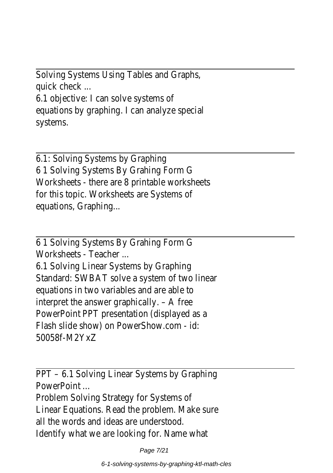Solving Systems Using Tables and Graphs, quick check ... 6.1 objective: I can solve systems of equations by graphing. I can analyze special systems.

6.1: Solving Systems by Graphing 6 1 Solving Systems By Grahing Form G Worksheets - there are 8 printable worksheets for this topic. Worksheets are Systems of equations, Graphing...

6 1 Solving Systems By Grahing Form G Worksheets - Teacher ...

6.1 Solving Linear Systems by Graphing Standard: SWBAT solve a system of two linear equations in two variables and are able to interpret the answer graphically. – A free PowerPoint PPT presentation (displayed as a Flash slide show) on PowerShow.com - id: 50058f-M2YxZ

PPT – 6.1 Solving Linear Systems by Graphing PowerPoint

Problem Solving Strategy for Systems of Linear Equations. Read the problem. Make sure all the words and ideas are understood. Identify what we are looking for. Name what

Page 7/21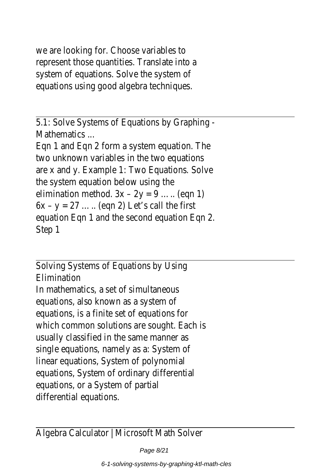we are looking for. Choose variables to represent those quantities. Translate into a system of equations. Solve the system of equations using good algebra techniques.

5.1: Solve Systems of Equations by Graphing - Mathematics ...

Eqn 1 and Eqn 2 form a system equation. The two unknown variables in the two equations are x and y. Example 1: Two Equations. Solve the system equation below using the elimination method.  $3x - 2y = 9$  ..... (eqn 1)  $6x - y = 27$  ..... (eqn 2) Let's call the first equation Eqn 1 and the second equation Eqn 2. Step 1

Solving Systems of Equations by Using Elimination In mathematics, a set of simultaneous equations, also known as a system of equations, is a finite set of equations for which common solutions are sought. Each is usually classified in the same manner as single equations, namely as a: System of linear equations, System of polynomial equations, System of ordinary differential equations, or a System of partial differential equations.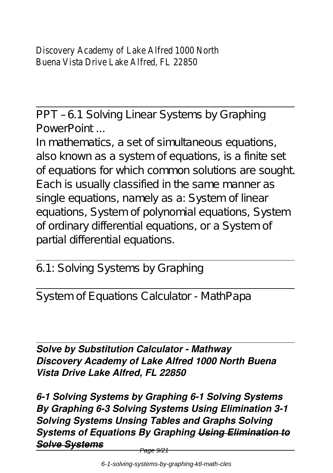Discovery Academy of Lake Alfred 1000 North Buena Vista Drive Lake Alfred, FL 22850

PPT – 6.1 Solving Linear Systems by Graphing PowerPoint

In mathematics, a set of simultaneous equations, also known as a system of equations, is a finite set of equations for which common solutions are sought. Each is usually classified in the same manner as single equations, namely as a: System of linear equations, System of polynomial equations, System of ordinary differential equations, or a System of partial differential equations.

6.1: Solving Systems by Graphing

System of Equations Calculator - MathPapa

*Solve by Substitution Calculator - Mathway Discovery Academy of Lake Alfred 1000 North Buena Vista Drive Lake Alfred, FL 22850*

*6-1 Solving Systems by Graphing 6-1 Solving Systems By Graphing 6-3 Solving Systems Using Elimination 3-1 Solving Systems Unsing Tables and Graphs Solving Systems of Equations By Graphing Using Elimination to Solve Systems*

<del>Page 9/21</del>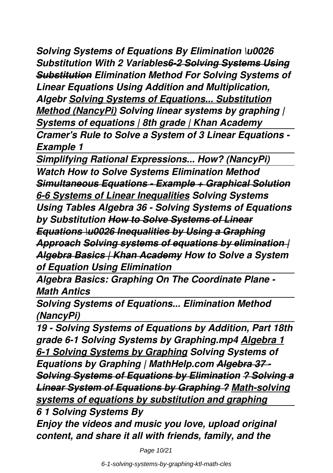*Solving Systems of Equations By Elimination \u0026 Substitution With 2 Variables6-2 Solving Systems Using Substitution Elimination Method For Solving Systems of Linear Equations Using Addition and Multiplication, Algebr Solving Systems of Equations... Substitution Method (NancyPi) Solving linear systems by graphing | Systems of equations | 8th grade | Khan Academy Cramer's Rule to Solve a System of 3 Linear Equations - Example 1*

*Simplifying Rational Expressions... How? (NancyPi) Watch How to Solve Systems Elimination Method Simultaneous Equations - Example + Graphical Solution 6-6 Systems of Linear Inequalities Solving Systems Using Tables Algebra 36 - Solving Systems of Equations by Substitution How to Solve Systems of Linear Equations \u0026 Inequalities by Using a Graphing Approach Solving systems of equations by elimination | Algebra Basics | Khan Academy How to Solve a System of Equation Using Elimination* 

*Algebra Basics: Graphing On The Coordinate Plane - Math Antics*

*Solving Systems of Equations... Elimination Method (NancyPi)*

*19 - Solving Systems of Equations by Addition, Part 18th grade 6-1 Solving Systems by Graphing.mp4 Algebra 1 6-1 Solving Systems by Graphing Solving Systems of Equations by Graphing | MathHelp.com Algebra 37 - Solving Systems of Equations by Elimination ? Solving a Linear System of Equations by Graphing ? Math-solving systems of equations by substitution and graphing*

*6 1 Solving Systems By Enjoy the videos and music you love, upload original content, and share it all with friends, family, and the*

Page 10/21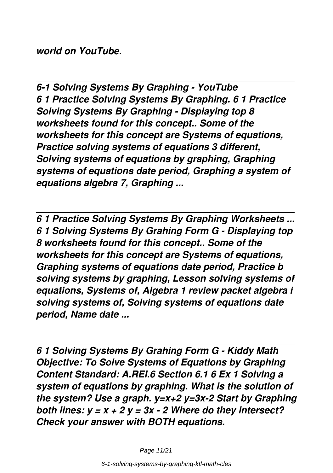*world on YouTube.*

*6-1 Solving Systems By Graphing - YouTube 6 1 Practice Solving Systems By Graphing. 6 1 Practice Solving Systems By Graphing - Displaying top 8 worksheets found for this concept.. Some of the worksheets for this concept are Systems of equations, Practice solving systems of equations 3 different, Solving systems of equations by graphing, Graphing systems of equations date period, Graphing a system of equations algebra 7, Graphing ...*

*6 1 Practice Solving Systems By Graphing Worksheets ... 6 1 Solving Systems By Grahing Form G - Displaying top 8 worksheets found for this concept.. Some of the worksheets for this concept are Systems of equations, Graphing systems of equations date period, Practice b solving systems by graphing, Lesson solving systems of equations, Systems of, Algebra 1 review packet algebra i solving systems of, Solving systems of equations date period, Name date ...*

*6 1 Solving Systems By Grahing Form G - Kiddy Math Objective: To Solve Systems of Equations by Graphing Content Standard: A.REI.6 Section 6.1 6 Ex 1 Solving a system of equations by graphing. What is the solution of the system? Use a graph. y=x+2 y=3x-2 Start by Graphing both lines: y = x + 2 y = 3x - 2 Where do they intersect? Check your answer with BOTH equations.*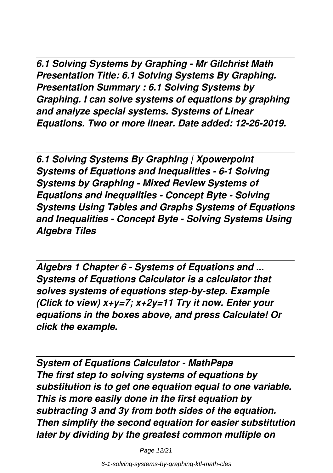*6.1 Solving Systems by Graphing - Mr Gilchrist Math Presentation Title: 6.1 Solving Systems By Graphing. Presentation Summary : 6.1 Solving Systems by Graphing. I can solve systems of equations by graphing and analyze special systems. Systems of Linear Equations. Two or more linear. Date added: 12-26-2019.*

*6.1 Solving Systems By Graphing | Xpowerpoint Systems of Equations and Inequalities - 6-1 Solving Systems by Graphing - Mixed Review Systems of Equations and Inequalities - Concept Byte - Solving Systems Using Tables and Graphs Systems of Equations and Inequalities - Concept Byte - Solving Systems Using Algebra Tiles*

*Algebra 1 Chapter 6 - Systems of Equations and ... Systems of Equations Calculator is a calculator that solves systems of equations step-by-step. Example (Click to view) x+y=7; x+2y=11 Try it now. Enter your equations in the boxes above, and press Calculate! Or click the example.*

*System of Equations Calculator - MathPapa The first step to solving systems of equations by substitution is to get one equation equal to one variable. This is more easily done in the first equation by subtracting 3 and 3y from both sides of the equation. Then simplify the second equation for easier substitution later by dividing by the greatest common multiple on*

Page 12/21

6-1-solving-systems-by-graphing-ktl-math-cles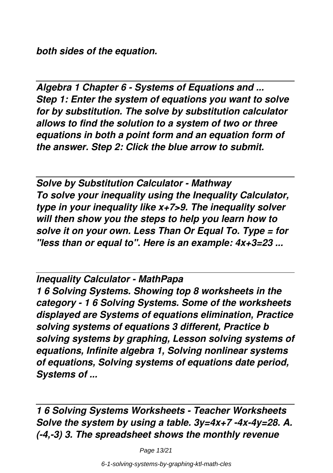*both sides of the equation.*

*Algebra 1 Chapter 6 - Systems of Equations and ... Step 1: Enter the system of equations you want to solve for by substitution. The solve by substitution calculator allows to find the solution to a system of two or three equations in both a point form and an equation form of the answer. Step 2: Click the blue arrow to submit.*

*Solve by Substitution Calculator - Mathway To solve your inequality using the Inequality Calculator, type in your inequality like x+7>9. The inequality solver will then show you the steps to help you learn how to solve it on your own. Less Than Or Equal To. Type = for "less than or equal to". Here is an example: 4x+3=23 ...*

*Inequality Calculator - MathPapa 1 6 Solving Systems. Showing top 8 worksheets in the category - 1 6 Solving Systems. Some of the worksheets displayed are Systems of equations elimination, Practice solving systems of equations 3 different, Practice b solving systems by graphing, Lesson solving systems of equations, Infinite algebra 1, Solving nonlinear systems of equations, Solving systems of equations date period, Systems of ...*

*1 6 Solving Systems Worksheets - Teacher Worksheets Solve the system by using a table. 3y=4x+7 -4x-4y=28. A. (-4,-3) 3. The spreadsheet shows the monthly revenue*

Page 13/21

6-1-solving-systems-by-graphing-ktl-math-cles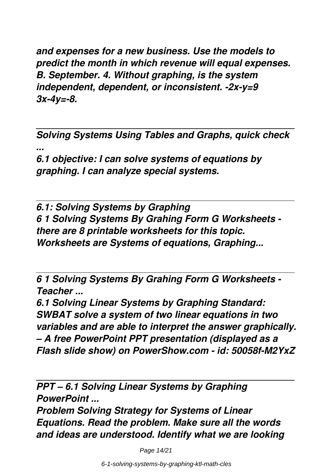*and expenses for a new business. Use the models to predict the month in which revenue will equal expenses. B. September. 4. Without graphing, is the system independent, dependent, or inconsistent. -2x-y=9 3x-4y=-8.*

*Solving Systems Using Tables and Graphs, quick check ...*

*6.1 objective: I can solve systems of equations by graphing. I can analyze special systems.*

*6.1: Solving Systems by Graphing 6 1 Solving Systems By Grahing Form G Worksheets there are 8 printable worksheets for this topic. Worksheets are Systems of equations, Graphing...*

*6 1 Solving Systems By Grahing Form G Worksheets - Teacher ...*

*6.1 Solving Linear Systems by Graphing Standard: SWBAT solve a system of two linear equations in two variables and are able to interpret the answer graphically. – A free PowerPoint PPT presentation (displayed as a Flash slide show) on PowerShow.com - id: 50058f-M2YxZ*

*PPT – 6.1 Solving Linear Systems by Graphing PowerPoint ...*

*Problem Solving Strategy for Systems of Linear Equations. Read the problem. Make sure all the words and ideas are understood. Identify what we are looking*

Page 14/21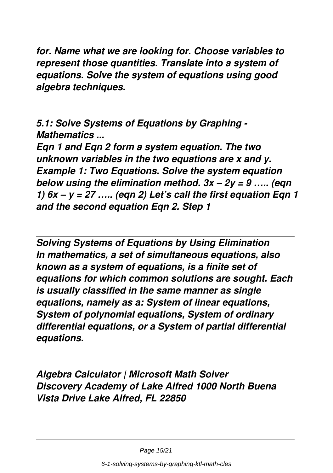*for. Name what we are looking for. Choose variables to represent those quantities. Translate into a system of equations. Solve the system of equations using good algebra techniques.*

*5.1: Solve Systems of Equations by Graphing - Mathematics ...*

*Eqn 1 and Eqn 2 form a system equation. The two unknown variables in the two equations are x and y. Example 1: Two Equations. Solve the system equation below using the elimination method. 3x – 2y = 9 ….. (eqn 1) 6x – y = 27 ….. (eqn 2) Let's call the first equation Eqn 1 and the second equation Eqn 2. Step 1*

*Solving Systems of Equations by Using Elimination In mathematics, a set of simultaneous equations, also known as a system of equations, is a finite set of equations for which common solutions are sought. Each is usually classified in the same manner as single equations, namely as a: System of linear equations, System of polynomial equations, System of ordinary differential equations, or a System of partial differential equations.*

*Algebra Calculator | Microsoft Math Solver Discovery Academy of Lake Alfred 1000 North Buena Vista Drive Lake Alfred, FL 22850*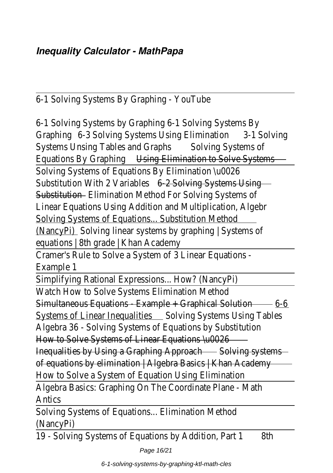6-1 Solving Systems By Graphing - YouTube

6-1 Solving Systems by Graphing 6-1 Solving Systems By Graphing 6-3 Solving Systems Using Elimination 3-1 Solving Systems Unsing Tables and Graphs Solving Systems of Equations By Graphing Using Elimination to Solve Systems Solving Systems of Equations By Elimination \u0026 Substitution With 2 Variables 6-2 Solving Systems Using-Substitution Elimination Method For Solving Systems of Linear Equations Using Addition and Multiplication, Algebr Solving Systems of Equations... Substitution Method (NancyPi) Solving linear systems by graphing | Systems of equations | 8th grade | Khan Academy Cramer's Rule to Solve a System of 3 Linear Equations - Example 1 Simplifying Rational Expressions... How? (NancyPi) Watch How to Solve Systems Elimination Method Simultaneous Equations Example + Graphical Solution - 6-6 Systems of Linear Inequalities Solving Systems Using Tables Algebra 36 - Solving Systems of Equations by Substitution How to Solve Systems of Linear Equations \u0026 Inequalities by Using a Graphing Approach - Solving systemsof equations by elimination | Algebra Basics | Khan Academy How to Solve a System of Equation Using Elimination Algebra Basics: Graphing On The Coordinate Plane - Math Antics Solving Systems of Equations... Elimination Method

(NancyPi)

19 - Solving Systems of Equations by Addition, Part 1 8th

Page 16/21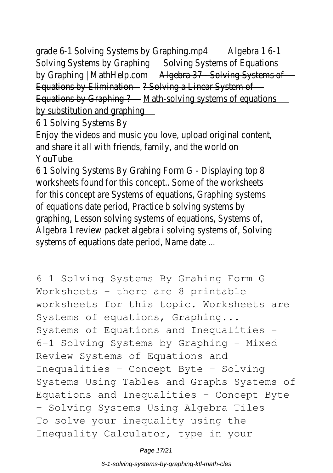grade 6-1 Solving Systems by Graphing.mp4 Algebra 1 6-1 Solving Systems by Graphing Solving Systems of Equations by Graphing | MathHelp.com Algebra 37 - Solving Systems of -Equations by Elimination - ? Solving a Linear System of -Equations by Graphing ? - Math-solving systems of equations by substitution and graphing

6 1 Solving Systems By

Enjoy the videos and music you love, upload original content, and share it all with friends, family, and the world on YouTube.

6 1 Solving Systems By Grahing Form G - Displaying top 8 worksheets found for this concept.. Some of the worksheets for this concept are Systems of equations, Graphing systems of equations date period, Practice b solving systems by graphing, Lesson solving systems of equations, Systems of, Algebra 1 review packet algebra i solving systems of, Solving systems of equations date period, Name date ...

6 1 Solving Systems By Grahing Form G Worksheets - there are 8 printable worksheets for this topic. Worksheets are Systems of equations, Graphing... Systems of Equations and Inequalities - 6-1 Solving Systems by Graphing - Mixed Review Systems of Equations and Inequalities - Concept Byte - Solving Systems Using Tables and Graphs Systems of Equations and Inequalities - Concept Byte - Solving Systems Using Algebra Tiles To solve your inequality using the Inequality Calculator, type in your

Page 17/21

6-1-solving-systems-by-graphing-ktl-math-cles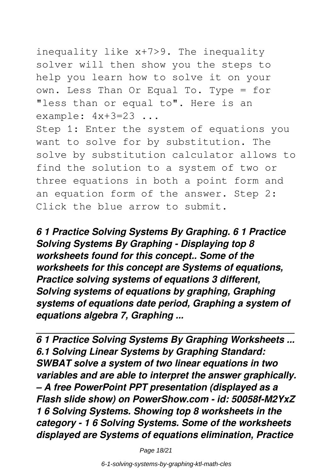inequality like x+7>9. The inequality solver will then show you the steps to help you learn how to solve it on your own. Less Than Or Equal To. Type = for "less than or equal to". Here is an example:  $4x+3=23$  ...

Step 1: Enter the system of equations you want to solve for by substitution. The solve by substitution calculator allows to find the solution to a system of two or three equations in both a point form and an equation form of the answer. Step 2: Click the blue arrow to submit.

*6 1 Practice Solving Systems By Graphing. 6 1 Practice Solving Systems By Graphing - Displaying top 8 worksheets found for this concept.. Some of the worksheets for this concept are Systems of equations, Practice solving systems of equations 3 different, Solving systems of equations by graphing, Graphing systems of equations date period, Graphing a system of equations algebra 7, Graphing ...*

*6 1 Practice Solving Systems By Graphing Worksheets ... 6.1 Solving Linear Systems by Graphing Standard: SWBAT solve a system of two linear equations in two variables and are able to interpret the answer graphically. – A free PowerPoint PPT presentation (displayed as a Flash slide show) on PowerShow.com - id: 50058f-M2YxZ 1 6 Solving Systems. Showing top 8 worksheets in the category - 1 6 Solving Systems. Some of the worksheets displayed are Systems of equations elimination, Practice*

Page 18/21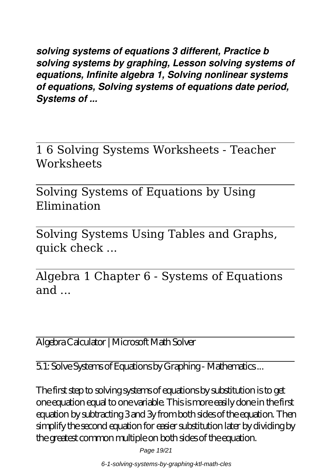*solving systems of equations 3 different, Practice b solving systems by graphing, Lesson solving systems of equations, Infinite algebra 1, Solving nonlinear systems of equations, Solving systems of equations date period, Systems of ...*

1 6 Solving Systems Worksheets - Teacher **Worksheets** 

Solving Systems of Equations by Using Elimination

Solving Systems Using Tables and Graphs, quick check ...

Algebra 1 Chapter 6 - Systems of Equations and  $\ldots$ 

Algebra Calculator | Microsoft Math Solver

5.1: Solve Systems of Equations by Graphing - Mathematics ...

The first step to solving systems of equations by substitution is to get one equation equal to one variable. This is more easily done in the first equation by subtracting 3 and 3y from both sides of the equation. Then simplify the second equation for easier substitution later by dividing by the greatest common multiple on both sides of the equation.

Page 19/21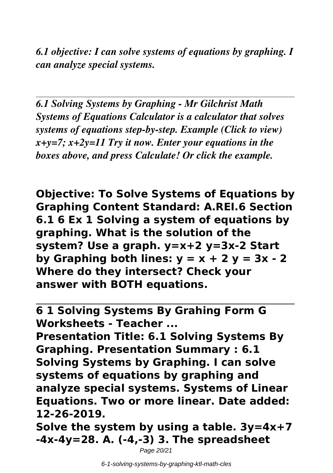*6.1 objective: I can solve systems of equations by graphing. I can analyze special systems.*

*6.1 Solving Systems by Graphing - Mr Gilchrist Math Systems of Equations Calculator is a calculator that solves systems of equations step-by-step. Example (Click to view) x+y=7; x+2y=11 Try it now. Enter your equations in the boxes above, and press Calculate! Or click the example.*

**Objective: To Solve Systems of Equations by Graphing Content Standard: A.REI.6 Section 6.1 6 Ex 1 Solving a system of equations by graphing. What is the solution of the system? Use a graph. y=x+2 y=3x-2 Start** by Graphing both lines:  $y = x + 2 y = 3x - 2$ **Where do they intersect? Check your answer with BOTH equations.**

**6 1 Solving Systems By Grahing Form G Worksheets - Teacher ...**

**Presentation Title: 6.1 Solving Systems By Graphing. Presentation Summary : 6.1 Solving Systems by Graphing. I can solve systems of equations by graphing and analyze special systems. Systems of Linear Equations. Two or more linear. Date added: 12-26-2019.**

**Solve the system by using a table. 3y=4x+7 -4x-4y=28. A. (-4,-3) 3. The spreadsheet**

Page 20/21